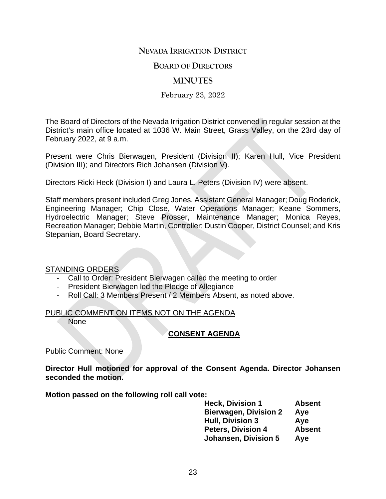## **NEVADA IRRIGATION DISTRICT**

### **BOARD OF DIRECTORS**

## **MINUTES**

#### February 23, 2022

The Board of Directors of the Nevada Irrigation District convened in regular session at the District's main office located at 1036 W. Main Street, Grass Valley, on the 23rd day of February 2022, at 9 a.m.

Present were Chris Bierwagen, President (Division II); Karen Hull, Vice President (Division III); and Directors Rich Johansen (Division V).

Directors Ricki Heck (Division I) and Laura L. Peters (Division IV) were absent.

Staff members present included Greg Jones, Assistant General Manager; Doug Roderick, Engineering Manager; Chip Close, Water Operations Manager; Keane Sommers, Hydroelectric Manager; Steve Prosser, Maintenance Manager; Monica Reyes, Recreation Manager; Debbie Martin, Controller; Dustin Cooper, District Counsel; and Kris Stepanian, Board Secretary.

#### STANDING ORDERS

- Call to Order: President Bierwagen called the meeting to order
- President Bierwagen led the Pledge of Allegiance
- Roll Call: 3 Members Present / 2 Members Absent, as noted above.

#### PUBLIC COMMENT ON ITEMS NOT ON THE AGENDA

None

### **CONSENT AGENDA**

Public Comment: None

**Director Hull motioned for approval of the Consent Agenda. Director Johansen seconded the motion.**

**Motion passed on the following roll call vote:**

| <b>Heck, Division 1</b>      | <b>Absent</b> |
|------------------------------|---------------|
| <b>Bierwagen, Division 2</b> | Aye           |
| <b>Hull, Division 3</b>      | Aye           |
| <b>Peters, Division 4</b>    | <b>Absent</b> |
| <b>Johansen, Division 5</b>  | Aye           |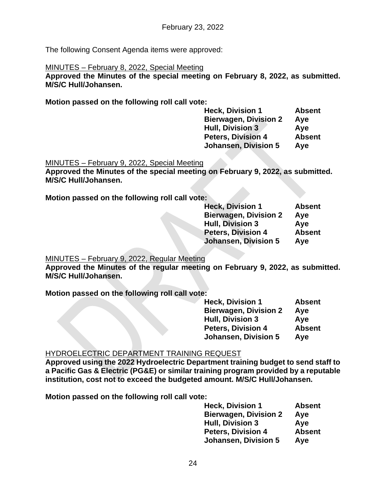The following Consent Agenda items were approved:

### MINUTES – February 8, 2022, Special Meeting

**Approved the Minutes of the special meeting on February 8, 2022, as submitted. M/S/C Hull/Johansen.**

**Motion passed on the following roll call vote:**

**Heck, Division 1** Absent<br>Bierwagen, Division 2 Aye **Bierwagen, Division 2 Hull, Division 3 Aye Peters, Division 4 Absent Johansen, Division 5 Aye**

MINUTES – February 9, 2022, Special Meeting

**Approved the Minutes of the special meeting on February 9, 2022, as submitted. M/S/C Hull/Johansen.**

**Motion passed on the following roll call vote:**

| <b>Heck, Division 1</b>      | <b>Absent</b> |
|------------------------------|---------------|
| <b>Bierwagen, Division 2</b> | Aye           |
| <b>Hull, Division 3</b>      | Aye           |
| <b>Peters, Division 4</b>    | <b>Absent</b> |
| <b>Johansen, Division 5</b>  | Aye           |

MINUTES – February 9, 2022, Regular Meeting

**Approved the Minutes of the regular meeting on February 9, 2022, as submitted. M/S/C Hull/Johansen.**

**Motion passed on the following roll call vote:**

| <b>Heck, Division 1</b>      | <b>Absent</b> |
|------------------------------|---------------|
| <b>Bierwagen, Division 2</b> | Aye           |
| <b>Hull, Division 3</b>      | Aye           |
| <b>Peters, Division 4</b>    | <b>Absent</b> |
| <b>Johansen, Division 5</b>  | Aye           |

### HYDROELECTRIC DEPARTMENT TRAINING REQUEST

**Approved using the 2022 Hydroelectric Department training budget to send staff to a Pacific Gas & Electric (PG&E) or similar training program provided by a reputable institution, cost not to exceed the budgeted amount. M/S/C Hull/Johansen.**

**Motion passed on the following roll call vote:**

| <b>Heck, Division 1</b>      | <b>Absent</b> |
|------------------------------|---------------|
| <b>Bierwagen, Division 2</b> | Aye           |
| <b>Hull, Division 3</b>      | Aye           |
| <b>Peters, Division 4</b>    | <b>Absent</b> |
| <b>Johansen, Division 5</b>  | Aye           |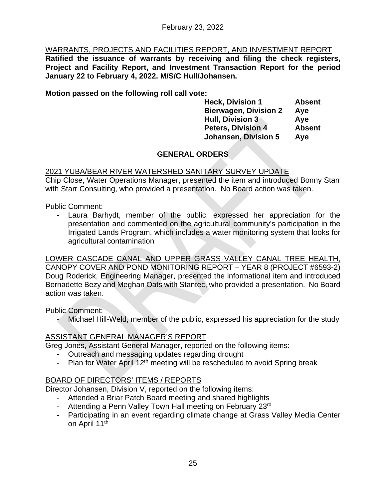# WARRANTS, PROJECTS AND FACILITIES REPORT, AND INVESTMENT REPORT

**Ratified the issuance of warrants by receiving and filing the check registers, Project and Facility Report, and Investment Transaction Report for the period January 22 to February 4, 2022. M/S/C Hull/Johansen.**

**Motion passed on the following roll call vote:**

**Heck, Division 1 Absent Bierwagen, Division 2 Aye Hull, Division 3 Aye Peters, Division 4 Absent Johansen, Division 5 Aye**

# **GENERAL ORDERS**

## 2021 YUBA/BEAR RIVER WATERSHED SANITARY SURVEY UPDATE

Chip Close, Water Operations Manager, presented the item and introduced Bonny Starr with Starr Consulting, who provided a presentation. No Board action was taken.

Public Comment:

- Laura Barhydt, member of the public, expressed her appreciation for the presentation and commented on the agricultural community's participation in the Irrigated Lands Program, which includes a water monitoring system that looks for agricultural contamination

LOWER CASCADE CANAL AND UPPER GRASS VALLEY CANAL TREE HEALTH, CANOPY COVER AND POND MONITORING REPORT – YEAR 8 (PROJECT #6593-2) Doug Roderick, Engineering Manager, presented the informational item and introduced Bernadette Bezy and Meghan Oats with Stantec, who provided a presentation. No Board action was taken.

Public Comment:

Michael Hill-Weld, member of the public, expressed his appreciation for the study

# ASSISTANT GENERAL MANAGER'S REPORT

Greg Jones, Assistant General Manager, reported on the following items:

- Outreach and messaging updates regarding drought
- Plan for Water April  $12<sup>th</sup>$  meeting will be rescheduled to avoid Spring break

# BOARD OF DIRECTORS' ITEMS / REPORTS

Director Johansen, Division V, reported on the following items:

- Attended a Briar Patch Board meeting and shared highlights
- Attending a Penn Valley Town Hall meeting on February 23rd
- Participating in an event regarding climate change at Grass Valley Media Center on April 11<sup>th</sup>